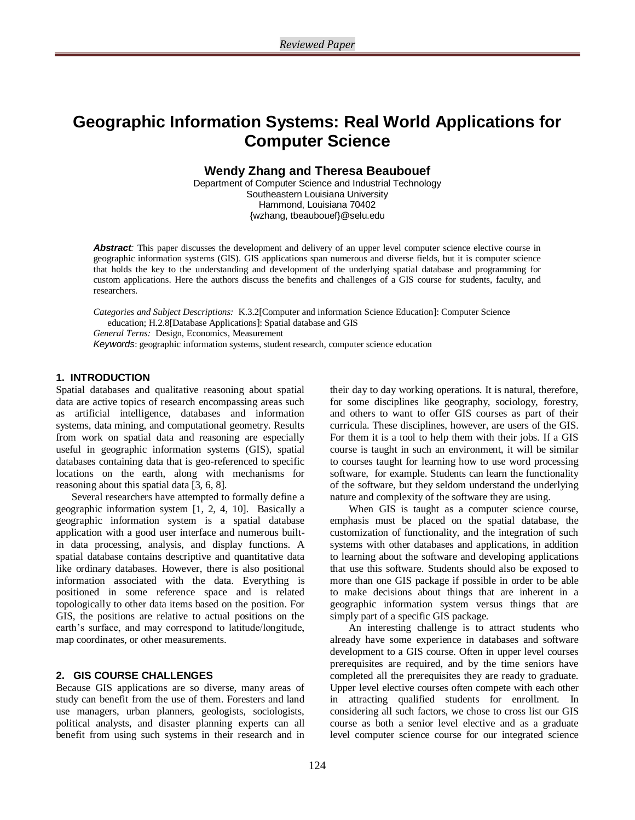# **Geographic Information Systems: Real World Applications for Computer Science**

**Wendy Zhang and Theresa Beaubouef**

Department of Computer Science and Industrial Technology Southeastern Louisiana University Hammond, Louisiana 70402 {wzhang, tbeaubouef}@selu.edu

Abstract: This paper discusses the development and delivery of an upper level computer science elective course in geographic information systems (GIS). GIS applications span numerous and diverse fields, but it is computer science that holds the key to the understanding and development of the underlying spatial database and programming for custom applications. Here the authors discuss the benefits and challenges of a GIS course for students, faculty, and researchers.

*Categories and Subject Descriptions:* K.3.2[Computer and information Science Education]: Computer Science education; H.2.8[Database Applications]: Spatial database and GIS *General Terns:* Design, Economics, Measurement *Keywords*: geographic information systems, student research, computer science education

#### **1. INTRODUCTION**

Spatial databases and qualitative reasoning about spatial data are active topics of research encompassing areas such as artificial intelligence, databases and information systems, data mining, and computational geometry. Results from work on spatial data and reasoning are especially useful in geographic information systems (GIS), spatial databases containing data that is geo-referenced to specific locations on the earth, along with mechanisms for reasoning about this spatial data [3, 6, 8].

 Several researchers have attempted to formally define a geographic information system [1, 2, 4, 10]. Basically a geographic information system is a spatial database application with a good user interface and numerous builtin data processing, analysis, and display functions. A spatial database contains descriptive and quantitative data like ordinary databases. However, there is also positional information associated with the data. Everything is positioned in some reference space and is related topologically to other data items based on the position. For GIS, the positions are relative to actual positions on the earth's surface, and may correspond to latitude/longitude, map coordinates, or other measurements.

#### **2. GIS COURSE CHALLENGES**

Because GIS applications are so diverse, many areas of study can benefit from the use of them. Foresters and land use managers, urban planners, geologists, sociologists, political analysts, and disaster planning experts can all benefit from using such systems in their research and in their day to day working operations. It is natural, therefore, for some disciplines like geography, sociology, forestry, and others to want to offer GIS courses as part of their curricula. These disciplines, however, are users of the GIS. For them it is a tool to help them with their jobs. If a GIS course is taught in such an environment, it will be similar to courses taught for learning how to use word processing software, for example. Students can learn the functionality of the software, but they seldom understand the underlying nature and complexity of the software they are using.

When GIS is taught as a computer science course, emphasis must be placed on the spatial database, the customization of functionality, and the integration of such systems with other databases and applications, in addition to learning about the software and developing applications that use this software. Students should also be exposed to more than one GIS package if possible in order to be able to make decisions about things that are inherent in a geographic information system versus things that are simply part of a specific GIS package.

An interesting challenge is to attract students who already have some experience in databases and software development to a GIS course. Often in upper level courses prerequisites are required, and by the time seniors have completed all the prerequisites they are ready to graduate. Upper level elective courses often compete with each other in attracting qualified students for enrollment. In considering all such factors, we chose to cross list our GIS course as both a senior level elective and as a graduate level computer science course for our integrated science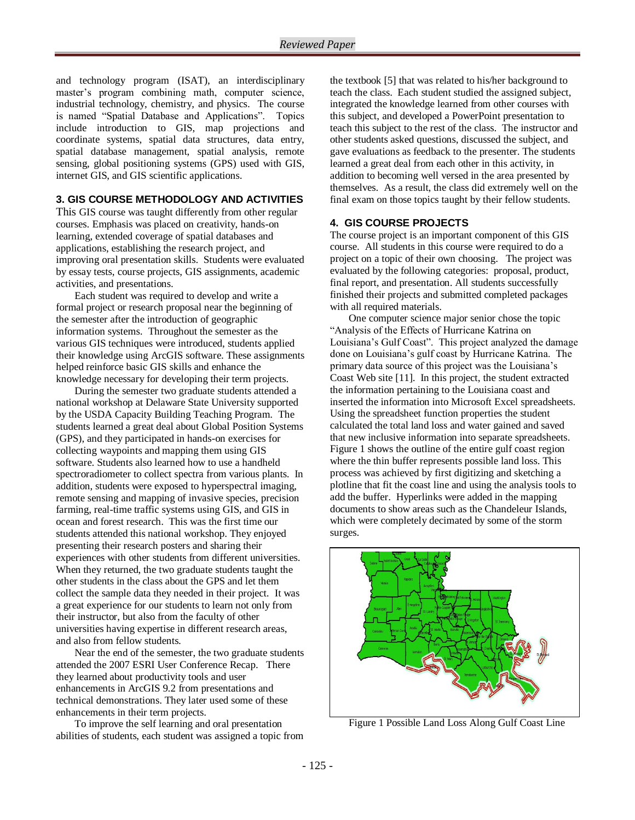and technology program (ISAT), an interdisciplinary master's program combining math, computer science, industrial technology, chemistry, and physics. The course is named "Spatial Database and Applications". Topics include introduction to GIS, map projections and coordinate systems, spatial data structures, data entry, spatial database management, spatial analysis, remote sensing, global positioning systems (GPS) used with GIS, internet GIS, and GIS scientific applications.

# **3. GIS COURSE METHODOLOGY AND ACTIVITIES**

This GIS course was taught differently from other regular courses. Emphasis was placed on creativity, hands-on learning, extended coverage of spatial databases and applications, establishing the research project, and improving oral presentation skills. Students were evaluated by essay tests, course projects, GIS assignments, academic activities, and presentations.

Each student was required to develop and write a formal project or research proposal near the beginning of the semester after the introduction of geographic information systems. Throughout the semester as the various GIS techniques were introduced, students applied their knowledge using ArcGIS software. These assignments helped reinforce basic GIS skills and enhance the knowledge necessary for developing their term projects.

During the semester two graduate students attended a national workshop at Delaware State University supported by the USDA Capacity Building Teaching Program. The students learned a great deal about Global Position Systems (GPS), and they participated in hands-on exercises for collecting waypoints and mapping them using GIS software. Students also learned how to use a handheld spectroradiometer to collect spectra from various plants. In addition, students were exposed to hyperspectral imaging, remote sensing and mapping of invasive species, precision farming, real-time traffic systems using GIS, and GIS in ocean and forest research. This was the first time our students attended this national workshop. They enjoyed presenting their research posters and sharing their experiences with other students from different universities. When they returned, the two graduate students taught the other students in the class about the GPS and let them collect the sample data they needed in their project. It was a great experience for our students to learn not only from their instructor, but also from the faculty of other universities having expertise in different research areas, and also from fellow students.

Near the end of the semester, the two graduate students attended the 2007 ESRI User Conference Recap. There they learned about productivity tools and user enhancements in ArcGIS 9.2 from presentations and technical demonstrations. They later used some of these enhancements in their term projects.

To improve the self learning and oral presentation abilities of students, each student was assigned a topic from the textbook [5] that was related to his/her background to teach the class. Each student studied the assigned subject, integrated the knowledge learned from other courses with this subject, and developed a PowerPoint presentation to teach this subject to the rest of the class. The instructor and other students asked questions, discussed the subject, and gave evaluations as feedback to the presenter. The students learned a great deal from each other in this activity, in addition to becoming well versed in the area presented by themselves. As a result, the class did extremely well on the final exam on those topics taught by their fellow students.

### **4. GIS COURSE PROJECTS**

The course project is an important component of this GIS course. All students in this course were required to do a project on a topic of their own choosing. The project was evaluated by the following categories: proposal, product, final report, and presentation. All students successfully finished their projects and submitted completed packages with all required materials.

One computer science major senior chose the topic "Analysis of the Effects of Hurricane Katrina on Louisiana's Gulf Coast". This project analyzed the damage done on Louisiana's gulf coast by Hurricane Katrina. The primary data source of this project was the Louisiana's Coast Web site [11]. In this project, the student extracted the information pertaining to the Louisiana coast and inserted the information into Microsoft Excel spreadsheets. Using the spreadsheet function properties the student calculated the total land loss and water gained and saved that new inclusive information into separate spreadsheets. Figure 1 shows the outline of the entire gulf coast region where the thin buffer represents possible land loss. This process was achieved by first digitizing and sketching a plotline that fit the coast line and using the analysis tools to add the buffer. Hyperlinks were added in the mapping documents to show areas such as the Chandeleur Islands, which were completely decimated by some of the storm surges.



Figure 1 Possible Land Loss Along Gulf Coast Line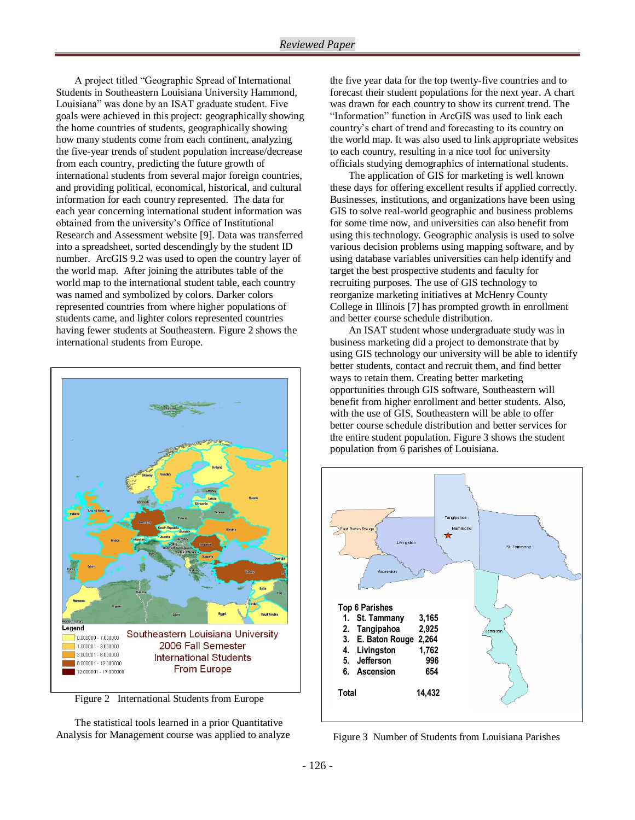A project titled "Geographic Spread of International Students in Southeastern Louisiana University Hammond, Louisiana" was done by an ISAT graduate student. Five goals were achieved in this project: geographically showing the home countries of students, geographically showing how many students come from each continent, analyzing the five-year trends of student population increase/decrease from each country, predicting the future growth of international students from several major foreign countries, and providing political, economical, historical, and cultural information for each country represented. The data for each year concerning international student information was obtained from the university's Office of Institutional Research and Assessment website [9]. Data was transferred into a spreadsheet, sorted descendingly by the student ID number. ArcGIS 9.2 was used to open the country layer of the world map. After joining the attributes table of the world map to the international student table, each country was named and symbolized by colors. Darker colors represented countries from where higher populations of students came, and lighter colors represented countries having fewer students at Southeastern. Figure 2 shows the international students from Europe.



Figure 2 International Students from Europe

The statistical tools learned in a prior Quantitative Analysis for Management course was applied to analyze the five year data for the top twenty-five countries and to forecast their student populations for the next year. A chart was drawn for each country to show its current trend. The "Information" function in ArcGIS was used to link each country's chart of trend and forecasting to its country on the world map. It was also used to link appropriate websites to each country, resulting in a nice tool for university officials studying demographics of international students.

The application of GIS for marketing is well known these days for offering excellent results if applied correctly. Businesses, institutions, and organizations have been using GIS to solve real-world geographic and business problems for some time now, and universities can also benefit from using this technology. Geographic analysis is used to solve various decision problems using mapping software, and by using database variables universities can help identify and target the best prospective students and faculty for recruiting purposes. The use of GIS technology to reorganize marketing initiatives at McHenry County College in Illinois [7] has prompted growth in enrollment and better course schedule distribution.

An ISAT student whose undergraduate study was in business marketing did a project to demonstrate that by using GIS technology our university will be able to identify better students, contact and recruit them, and find better ways to retain them. Creating better marketing opportunities through GIS software, Southeastern will benefit from higher enrollment and better students. Also, with the use of GIS. Southeastern will be able to offer better course schedule distribution and better services for the entire schedule distribution and better services for<br>the entire student population. Figure 3 shows the student population from 6 parishes of Louisiana.



Figure 3 Number of Students from Louisiana Parishes